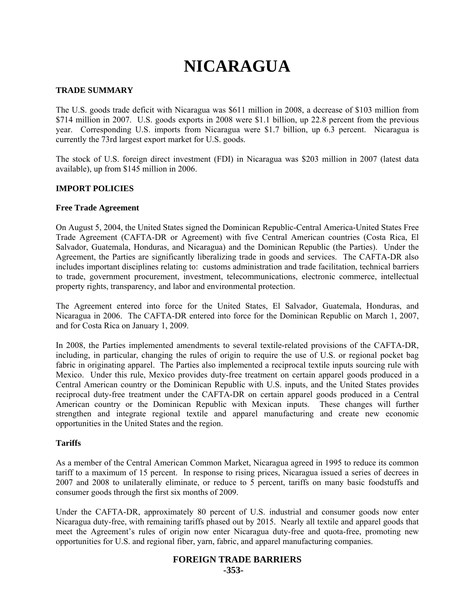# **NICARAGUA**

#### **TRADE SUMMARY**

The U.S. goods trade deficit with Nicaragua was \$611 million in 2008, a decrease of \$103 million from \$714 million in 2007. U.S. goods exports in 2008 were \$1.1 billion, up 22.8 percent from the previous year. Corresponding U.S. imports from Nicaragua were \$1.7 billion, up 6.3 percent. Nicaragua is currently the 73rd largest export market for U.S. goods.

The stock of U.S. foreign direct investment (FDI) in Nicaragua was \$203 million in 2007 (latest data available), up from \$145 million in 2006.

#### **IMPORT POLICIES**

#### **Free Trade Agreement**

On August 5, 2004, the United States signed the Dominican Republic-Central America-United States Free Trade Agreement (CAFTA-DR or Agreement) with five Central American countries (Costa Rica, El Salvador, Guatemala, Honduras, and Nicaragua) and the Dominican Republic (the Parties). Under the Agreement, the Parties are significantly liberalizing trade in goods and services. The CAFTA-DR also includes important disciplines relating to: customs administration and trade facilitation, technical barriers to trade, government procurement, investment, telecommunications, electronic commerce, intellectual property rights, transparency, and labor and environmental protection.

The Agreement entered into force for the United States, El Salvador, Guatemala, Honduras, and Nicaragua in 2006. The CAFTA-DR entered into force for the Dominican Republic on March 1, 2007, and for Costa Rica on January 1, 2009.

In 2008, the Parties implemented amendments to several textile-related provisions of the CAFTA-DR, including, in particular, changing the rules of origin to require the use of U.S. or regional pocket bag fabric in originating apparel. The Parties also implemented a reciprocal textile inputs sourcing rule with Mexico. Under this rule, Mexico provides duty-free treatment on certain apparel goods produced in a Central American country or the Dominican Republic with U.S. inputs, and the United States provides reciprocal duty-free treatment under the CAFTA-DR on certain apparel goods produced in a Central American country or the Dominican Republic with Mexican inputs. These changes will further strengthen and integrate regional textile and apparel manufacturing and create new economic opportunities in the United States and the region.

### **Tariffs**

As a member of the Central American Common Market, Nicaragua agreed in 1995 to reduce its common tariff to a maximum of 15 percent. In response to rising prices, Nicaragua issued a series of decrees in 2007 and 2008 to unilaterally eliminate, or reduce to 5 percent, tariffs on many basic foodstuffs and consumer goods through the first six months of 2009.

Under the CAFTA-DR, approximately 80 percent of U.S. industrial and consumer goods now enter Nicaragua duty-free, with remaining tariffs phased out by 2015. Nearly all textile and apparel goods that meet the Agreement's rules of origin now enter Nicaragua duty-free and quota-free, promoting new opportunities for U.S. and regional fiber, yarn, fabric, and apparel manufacturing companies.

## **FOREIGN TRADE BARRIERS**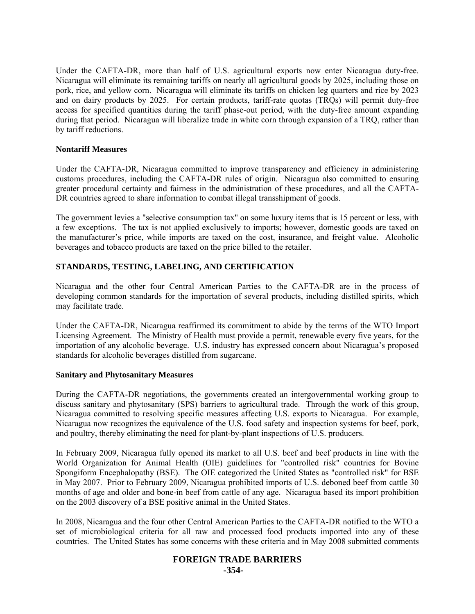Under the CAFTA-DR, more than half of U.S. agricultural exports now enter Nicaragua duty-free. Nicaragua will eliminate its remaining tariffs on nearly all agricultural goods by 2025, including those on pork, rice, and yellow corn. Nicaragua will eliminate its tariffs on chicken leg quarters and rice by 2023 and on dairy products by 2025. For certain products, tariff-rate quotas (TRQs) will permit duty-free access for specified quantities during the tariff phase-out period, with the duty-free amount expanding during that period. Nicaragua will liberalize trade in white corn through expansion of a TRQ, rather than by tariff reductions.

#### **Nontariff Measures**

Under the CAFTA-DR, Nicaragua committed to improve transparency and efficiency in administering customs procedures, including the CAFTA-DR rules of origin. Nicaragua also committed to ensuring greater procedural certainty and fairness in the administration of these procedures, and all the CAFTA-DR countries agreed to share information to combat illegal transshipment of goods.

The government levies a "selective consumption tax" on some luxury items that is 15 percent or less, with a few exceptions. The tax is not applied exclusively to imports; however, domestic goods are taxed on the manufacturer's price, while imports are taxed on the cost, insurance, and freight value. Alcoholic beverages and tobacco products are taxed on the price billed to the retailer.

### **STANDARDS, TESTING, LABELING, AND CERTIFICATION**

Nicaragua and the other four Central American Parties to the CAFTA-DR are in the process of developing common standards for the importation of several products, including distilled spirits, which may facilitate trade.

Under the CAFTA-DR, Nicaragua reaffirmed its commitment to abide by the terms of the WTO Import Licensing Agreement. The Ministry of Health must provide a permit, renewable every five years, for the importation of any alcoholic beverage. U.S. industry has expressed concern about Nicaragua's proposed standards for alcoholic beverages distilled from sugarcane.

#### **Sanitary and Phytosanitary Measures**

During the CAFTA-DR negotiations, the governments created an intergovernmental working group to discuss sanitary and phytosanitary (SPS) barriers to agricultural trade. Through the work of this group, Nicaragua committed to resolving specific measures affecting U.S. exports to Nicaragua. For example, Nicaragua now recognizes the equivalence of the U.S. food safety and inspection systems for beef, pork, and poultry, thereby eliminating the need for plant-by-plant inspections of U.S. producers.

In February 2009, Nicaragua fully opened its market to all U.S. beef and beef products in line with the World Organization for Animal Health (OIE) guidelines for "controlled risk" countries for Bovine Spongiform Encephalopathy (BSE). The OIE categorized the United States as "controlled risk" for BSE in May 2007. Prior to February 2009, Nicaragua prohibited imports of U.S. deboned beef from cattle 30 months of age and older and bone-in beef from cattle of any age. Nicaragua based its import prohibition on the 2003 discovery of a BSE positive animal in the United States.

In 2008, Nicaragua and the four other Central American Parties to the CAFTA-DR notified to the WTO a set of microbiological criteria for all raw and processed food products imported into any of these countries. The United States has some concerns with these criteria and in May 2008 submitted comments

#### **FOREIGN TRADE BARRIERS -354-**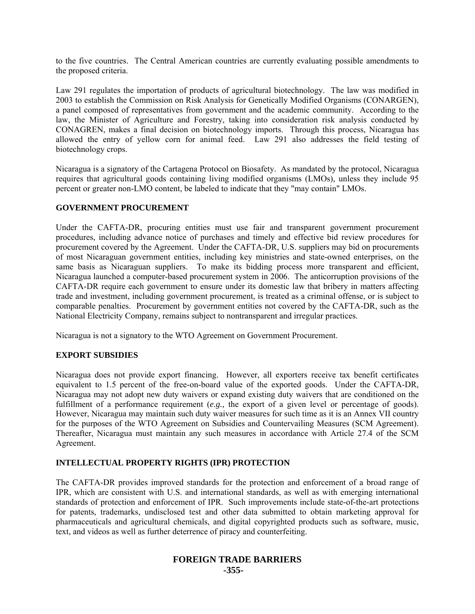to the five countries. The Central American countries are currently evaluating possible amendments to the proposed criteria.

Law 291 regulates the importation of products of agricultural biotechnology. The law was modified in 2003 to establish the Commission on Risk Analysis for Genetically Modified Organisms (CONARGEN), a panel composed of representatives from government and the academic community. According to the law, the Minister of Agriculture and Forestry, taking into consideration risk analysis conducted by CONAGREN, makes a final decision on biotechnology imports. Through this process, Nicaragua has allowed the entry of yellow corn for animal feed. Law 291 also addresses the field testing of biotechnology crops.

Nicaragua is a signatory of the Cartagena Protocol on Biosafety. As mandated by the protocol, Nicaragua requires that agricultural goods containing living modified organisms (LMOs), unless they include 95 percent or greater non-LMO content, be labeled to indicate that they "may contain" LMOs.

#### **GOVERNMENT PROCUREMENT**

Under the CAFTA-DR, procuring entities must use fair and transparent government procurement procedures, including advance notice of purchases and timely and effective bid review procedures for procurement covered by the Agreement. Under the CAFTA-DR, U.S. suppliers may bid on procurements of most Nicaraguan government entities, including key ministries and state-owned enterprises, on the same basis as Nicaraguan suppliers. To make its bidding process more transparent and efficient, Nicaragua launched a computer-based procurement system in 2006. The anticorruption provisions of the CAFTA-DR require each government to ensure under its domestic law that bribery in matters affecting trade and investment, including government procurement, is treated as a criminal offense, or is subject to comparable penalties. Procurement by government entities not covered by the CAFTA-DR, such as the National Electricity Company, remains subject to nontransparent and irregular practices.

Nicaragua is not a signatory to the WTO Agreement on Government Procurement.

#### **EXPORT SUBSIDIES**

Nicaragua does not provide export financing. However, all exporters receive tax benefit certificates equivalent to 1.5 percent of the free-on-board value of the exported goods. Under the CAFTA-DR, Nicaragua may not adopt new duty waivers or expand existing duty waivers that are conditioned on the fulfillment of a performance requirement (*e.g.,* the export of a given level or percentage of goods). However, Nicaragua may maintain such duty waiver measures for such time as it is an Annex VII country for the purposes of the WTO Agreement on Subsidies and Countervailing Measures (SCM Agreement). Thereafter, Nicaragua must maintain any such measures in accordance with Article 27.4 of the SCM Agreement.

### **INTELLECTUAL PROPERTY RIGHTS (IPR) PROTECTION**

The CAFTA-DR provides improved standards for the protection and enforcement of a broad range of IPR, which are consistent with U.S. and international standards, as well as with emerging international standards of protection and enforcement of IPR. Such improvements include state-of-the-art protections for patents, trademarks, undisclosed test and other data submitted to obtain marketing approval for pharmaceuticals and agricultural chemicals, and digital copyrighted products such as software, music, text, and videos as well as further deterrence of piracy and counterfeiting.

## **FOREIGN TRADE BARRIERS -355-**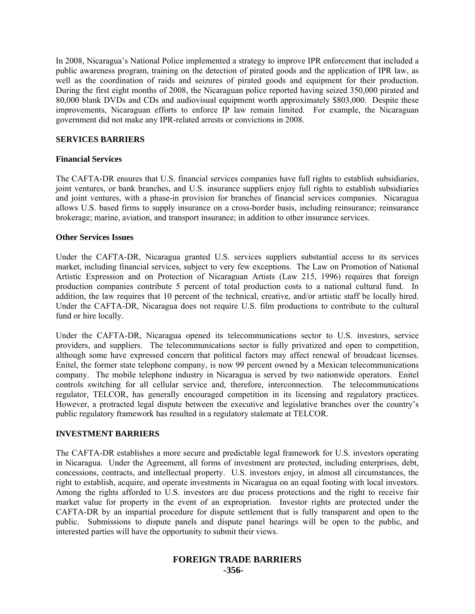In 2008, Nicaragua's National Police implemented a strategy to improve IPR enforcement that included a public awareness program, training on the detection of pirated goods and the application of IPR law, as well as the coordination of raids and seizures of pirated goods and equipment for their production. During the first eight months of 2008, the Nicaraguan police reported having seized 350,000 pirated and 80,000 blank DVDs and CDs and audiovisual equipment worth approximately \$803,000. Despite these improvements, Nicaraguan efforts to enforce IP law remain limited. For example, the Nicaraguan government did not make any IPR-related arrests or convictions in 2008.

#### **SERVICES BARRIERS**

#### **Financial Services**

The CAFTA-DR ensures that U.S. financial services companies have full rights to establish subsidiaries, joint ventures, or bank branches, and U.S. insurance suppliers enjoy full rights to establish subsidiaries and joint ventures, with a phase-in provision for branches of financial services companies. Nicaragua allows U.S. based firms to supply insurance on a cross-border basis, including reinsurance; reinsurance brokerage; marine, aviation, and transport insurance; in addition to other insurance services.

#### **Other Services Issues**

Under the CAFTA-DR, Nicaragua granted U.S. services suppliers substantial access to its services market, including financial services, subject to very few exceptions. The Law on Promotion of National Artistic Expression and on Protection of Nicaraguan Artists (Law 215, 1996) requires that foreign production companies contribute 5 percent of total production costs to a national cultural fund. In addition, the law requires that 10 percent of the technical, creative, and/or artistic staff be locally hired. Under the CAFTA-DR, Nicaragua does not require U.S. film productions to contribute to the cultural fund or hire locally.

Under the CAFTA-DR, Nicaragua opened its telecommunications sector to U.S. investors, service providers, and suppliers. The telecommunications sector is fully privatized and open to competition, although some have expressed concern that political factors may affect renewal of broadcast licenses. Enitel, the former state telephone company, is now 99 percent owned by a Mexican telecommunications company. The mobile telephone industry in Nicaragua is served by two nationwide operators. Enitel controls switching for all cellular service and, therefore, interconnection. The telecommunications regulator, TELCOR, has generally encouraged competition in its licensing and regulatory practices. However, a protracted legal dispute between the executive and legislative branches over the country's public regulatory framework has resulted in a regulatory stalemate at TELCOR.

### **INVESTMENT BARRIERS**

The CAFTA-DR establishes a more secure and predictable legal framework for U.S. investors operating in Nicaragua. Under the Agreement, all forms of investment are protected, including enterprises, debt, concessions, contracts, and intellectual property. U.S. investors enjoy, in almost all circumstances, the right to establish, acquire, and operate investments in Nicaragua on an equal footing with local investors. Among the rights afforded to U.S. investors are due process protections and the right to receive fair market value for property in the event of an expropriation. Investor rights are protected under the CAFTA-DR by an impartial procedure for dispute settlement that is fully transparent and open to the public. Submissions to dispute panels and dispute panel hearings will be open to the public, and interested parties will have the opportunity to submit their views.

## **FOREIGN TRADE BARRIERS -356-**